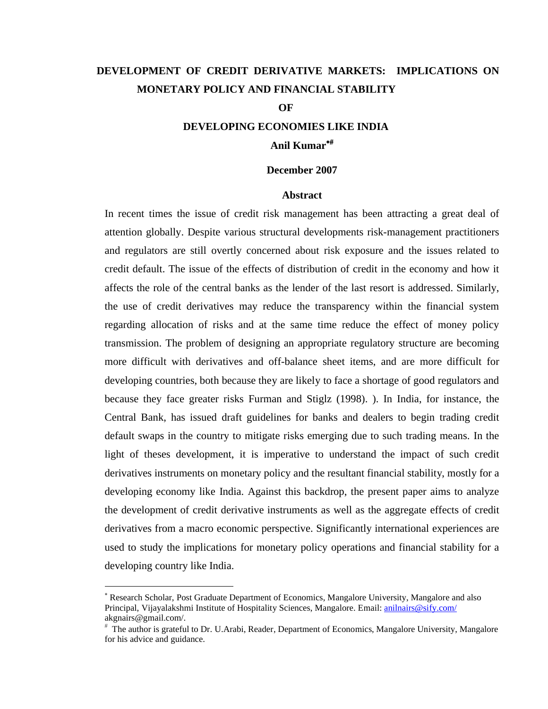# **DEVELOPMENT OF CREDIT DERIVATIVE MARKETS: IMPLICATIONS ON MONETARY POLICY AND FINANCIAL STABILITY**

#### **OF**

# **DEVELOPING ECONOMIES LIKE INDIA Anil Kumar**

#### **December 2007**

#### **Abstract**

In recent times the issue of credit risk management has been attracting a great deal of attention globally. Despite various structural developments risk-management practitioners and regulators are still overtly concerned about risk exposure and the issues related to credit default. The issue of the effects of distribution of credit in the economy and how it affects the role of the central banks as the lender of the last resort is addressed. Similarly, the use of credit derivatives may reduce the transparency within the financial system regarding allocation of risks and at the same time reduce the effect of money policy transmission. The problem of designing an appropriate regulatory structure are becoming more difficult with derivatives and off-balance sheet items, and are more difficult for developing countries, both because they are likely to face a shortage of good regulators and because they face greater risks Furman and Stiglz (1998). ). In India, for instance, the Central Bank, has issued draft guidelines for banks and dealers to begin trading credit default swaps in the country to mitigate risks emerging due to such trading means. In the light of theses development, it is imperative to understand the impact of such credit derivatives instruments on monetary policy and the resultant financial stability, mostly for a developing economy like India. Against this backdrop, the present paper aims to analyze the development of credit derivative instruments as well as the aggregate effects of credit derivatives from a macro economic perspective. Significantly international experiences are used to study the implications for monetary policy operations and financial stability for a developing country like India.

 $\overline{a}$ 

 Research Scholar, Post Graduate Department of Economics, Mangalore University, Mangalore and also Principal, Vijayalakshmi Institute of Hospitality Sciences, Mangalore. Email: anilnairs@sify.com/ akgnairs@gmail.com/.

 The author is grateful to Dr. U.Arabi, Reader, Department of Economics, Mangalore University, Mangalore for his advice and guidance.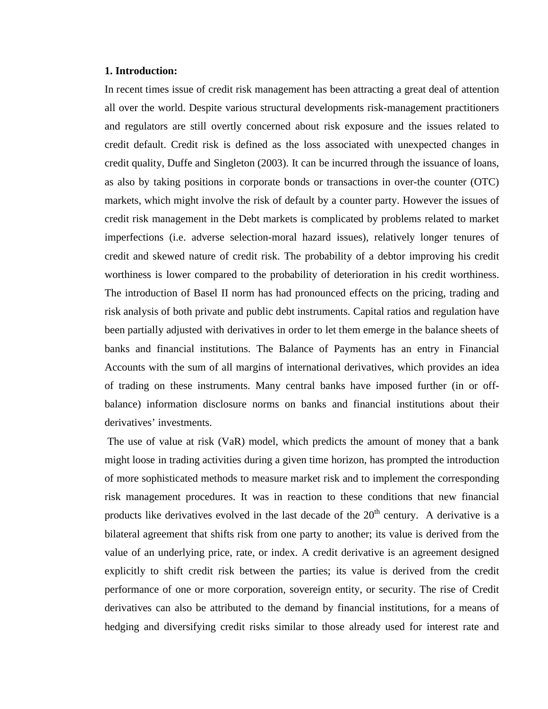## **1. Introduction:**

In recent times issue of credit risk management has been attracting a great deal of attention all over the world. Despite various structural developments risk-management practitioners and regulators are still overtly concerned about risk exposure and the issues related to credit default. Credit risk is defined as the loss associated with unexpected changes in credit quality, Duffe and Singleton (2003). It can be incurred through the issuance of loans, as also by taking positions in corporate bonds or transactions in over-the counter (OTC) markets, which might involve the risk of default by a counter party. However the issues of credit risk management in the Debt markets is complicated by problems related to market imperfections (i.e. adverse selection-moral hazard issues), relatively longer tenures of credit and skewed nature of credit risk. The probability of a debtor improving his credit worthiness is lower compared to the probability of deterioration in his credit worthiness. The introduction of Basel II norm has had pronounced effects on the pricing, trading and risk analysis of both private and public debt instruments. Capital ratios and regulation have been partially adjusted with derivatives in order to let them emerge in the balance sheets of banks and financial institutions. The Balance of Payments has an entry in Financial Accounts with the sum of all margins of international derivatives, which provides an idea of trading on these instruments. Many central banks have imposed further (in or offbalance) information disclosure norms on banks and financial institutions about their derivatives' investments.

 The use of value at risk (VaR) model, which predicts the amount of money that a bank might loose in trading activities during a given time horizon, has prompted the introduction of more sophisticated methods to measure market risk and to implement the corresponding risk management procedures. It was in reaction to these conditions that new financial products like derivatives evolved in the last decade of the  $20<sup>th</sup>$  century. A derivative is a bilateral agreement that shifts risk from one party to another; its value is derived from the value of an underlying price, rate, or index. A credit derivative is an agreement designed explicitly to shift credit risk between the parties; its value is derived from the credit performance of one or more corporation, sovereign entity, or security. The rise of Credit derivatives can also be attributed to the demand by financial institutions, for a means of hedging and diversifying credit risks similar to those already used for interest rate and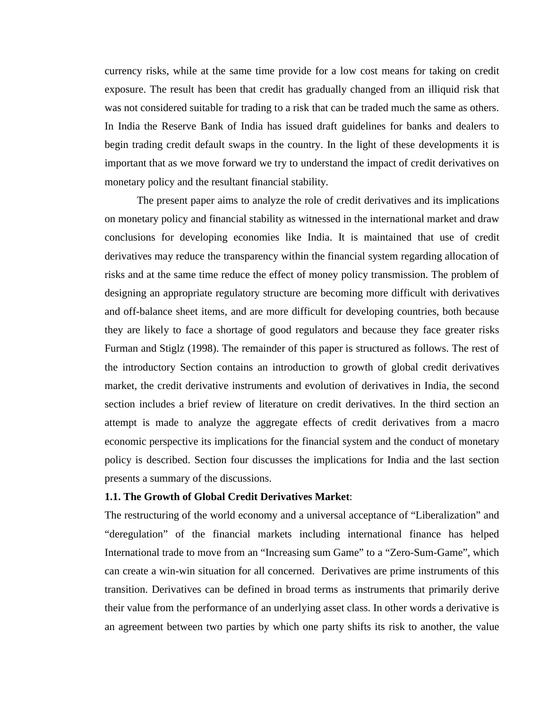currency risks, while at the same time provide for a low cost means for taking on credit exposure. The result has been that credit has gradually changed from an illiquid risk that was not considered suitable for trading to a risk that can be traded much the same as others. In India the Reserve Bank of India has issued draft guidelines for banks and dealers to begin trading credit default swaps in the country. In the light of these developments it is important that as we move forward we try to understand the impact of credit derivatives on monetary policy and the resultant financial stability.

The present paper aims to analyze the role of credit derivatives and its implications on monetary policy and financial stability as witnessed in the international market and draw conclusions for developing economies like India. It is maintained that use of credit derivatives may reduce the transparency within the financial system regarding allocation of risks and at the same time reduce the effect of money policy transmission. The problem of designing an appropriate regulatory structure are becoming more difficult with derivatives and off-balance sheet items, and are more difficult for developing countries, both because they are likely to face a shortage of good regulators and because they face greater risks Furman and Stiglz (1998). The remainder of this paper is structured as follows. The rest of the introductory Section contains an introduction to growth of global credit derivatives market, the credit derivative instruments and evolution of derivatives in India, the second section includes a brief review of literature on credit derivatives. In the third section an attempt is made to analyze the aggregate effects of credit derivatives from a macro economic perspective its implications for the financial system and the conduct of monetary policy is described. Section four discusses the implications for India and the last section presents a summary of the discussions.

# **1.1. The Growth of Global Credit Derivatives Market**:

The restructuring of the world economy and a universal acceptance of "Liberalization" and "deregulation" of the financial markets including international finance has helped International trade to move from an "Increasing sum Game" to a "Zero-Sum-Game", which can create a win-win situation for all concerned. Derivatives are prime instruments of this transition. Derivatives can be defined in broad terms as instruments that primarily derive their value from the performance of an underlying asset class. In other words a derivative is an agreement between two parties by which one party shifts its risk to another, the value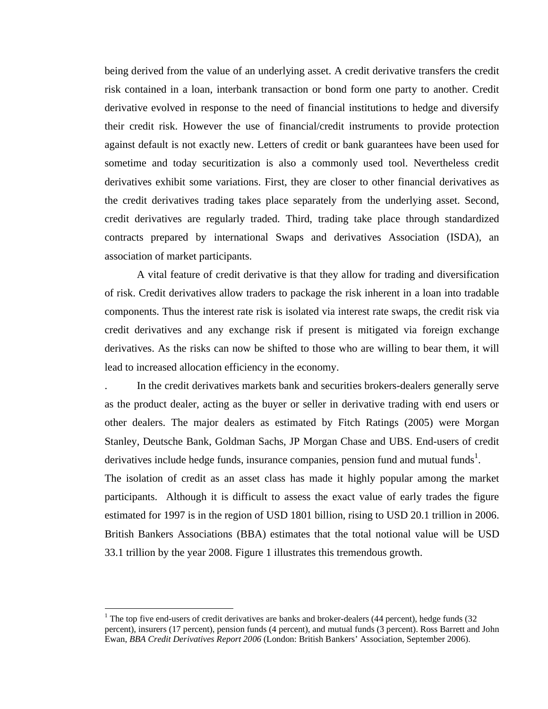being derived from the value of an underlying asset. A credit derivative transfers the credit risk contained in a loan, interbank transaction or bond form one party to another. Credit derivative evolved in response to the need of financial institutions to hedge and diversify their credit risk. However the use of financial/credit instruments to provide protection against default is not exactly new. Letters of credit or bank guarantees have been used for sometime and today securitization is also a commonly used tool. Nevertheless credit derivatives exhibit some variations. First, they are closer to other financial derivatives as the credit derivatives trading takes place separately from the underlying asset. Second, credit derivatives are regularly traded. Third, trading take place through standardized contracts prepared by international Swaps and derivatives Association (ISDA), an association of market participants.

A vital feature of credit derivative is that they allow for trading and diversification of risk. Credit derivatives allow traders to package the risk inherent in a loan into tradable components. Thus the interest rate risk is isolated via interest rate swaps, the credit risk via credit derivatives and any exchange risk if present is mitigated via foreign exchange derivatives. As the risks can now be shifted to those who are willing to bear them, it will lead to increased allocation efficiency in the economy.

. In the credit derivatives markets bank and securities brokers-dealers generally serve as the product dealer, acting as the buyer or seller in derivative trading with end users or other dealers. The major dealers as estimated by Fitch Ratings (2005) were Morgan Stanley, Deutsche Bank, Goldman Sachs, JP Morgan Chase and UBS. End-users of credit derivatives include hedge funds, insurance companies, pension fund and mutual funds<sup>1</sup>.

The isolation of credit as an asset class has made it highly popular among the market participants. Although it is difficult to assess the exact value of early trades the figure estimated for 1997 is in the region of USD 1801 billion, rising to USD 20.1 trillion in 2006. British Bankers Associations (BBA) estimates that the total notional value will be USD 33.1 trillion by the year 2008. Figure 1 illustrates this tremendous growth.

1

<sup>&</sup>lt;sup>1</sup> The top five end-users of credit derivatives are banks and broker-dealers (44 percent), hedge funds (32 percent), insurers (17 percent), pension funds (4 percent), and mutual funds (3 percent). Ross Barrett and John Ewan, *BBA Credit Derivatives Report 2006* (London: British Bankers' Association, September 2006).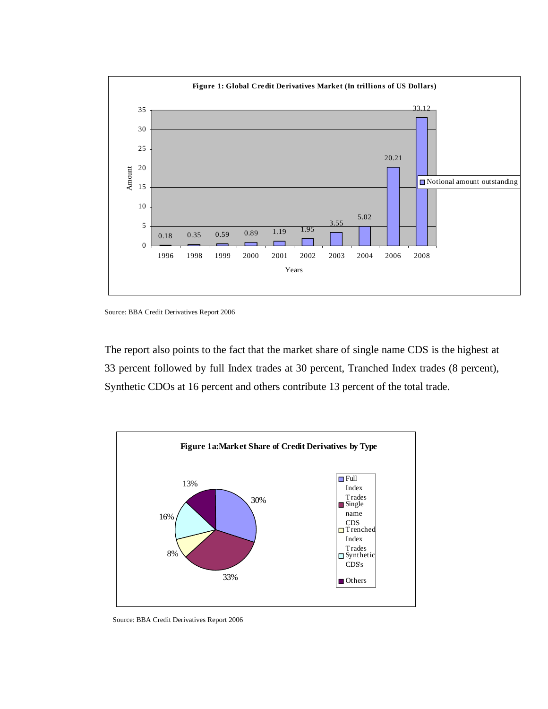

Source: BBA Credit Derivatives Report 2006

The report also points to the fact that the market share of single name CDS is the highest at 33 percent followed by full Index trades at 30 percent, Tranched Index trades (8 percent), Synthetic CDOs at 16 percent and others contribute 13 percent of the total trade.



Source: BBA Credit Derivatives Report 2006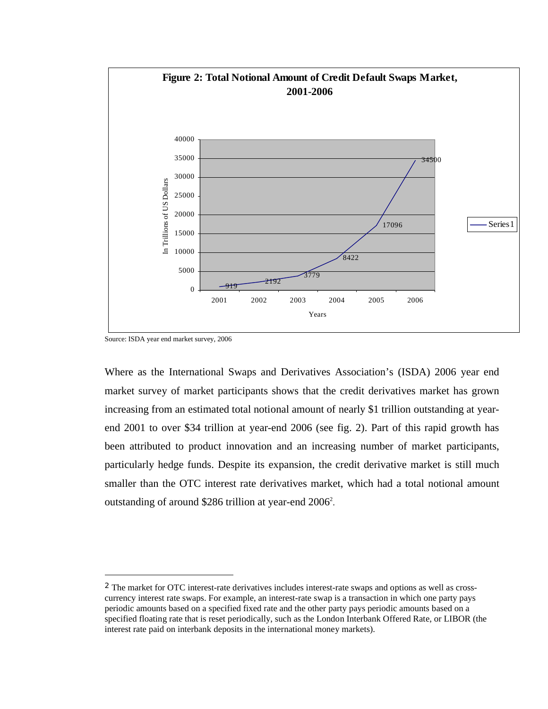

Source: ISDA year end market survey, 2006

 $\overline{a}$ 

Where as the International Swaps and Derivatives Association's (ISDA) 2006 year end market survey of market participants shows that the credit derivatives market has grown increasing from an estimated total notional amount of nearly \$1 trillion outstanding at yearend 2001 to over \$34 trillion at year-end 2006 (see fig. 2). Part of this rapid growth has been attributed to product innovation and an increasing number of market participants, particularly hedge funds. Despite its expansion, the credit derivative market is still much smaller than the OTC interest rate derivatives market, which had a total notional amount outstanding of around \$286 trillion at year-end  $2006^2$ .

<sup>2</sup> The market for OTC interest-rate derivatives includes interest-rate swaps and options as well as crosscurrency interest rate swaps. For example, an interest-rate swap is a transaction in which one party pays periodic amounts based on a specified fixed rate and the other party pays periodic amounts based on a specified floating rate that is reset periodically, such as the London Interbank Offered Rate, or LIBOR (the interest rate paid on interbank deposits in the international money markets).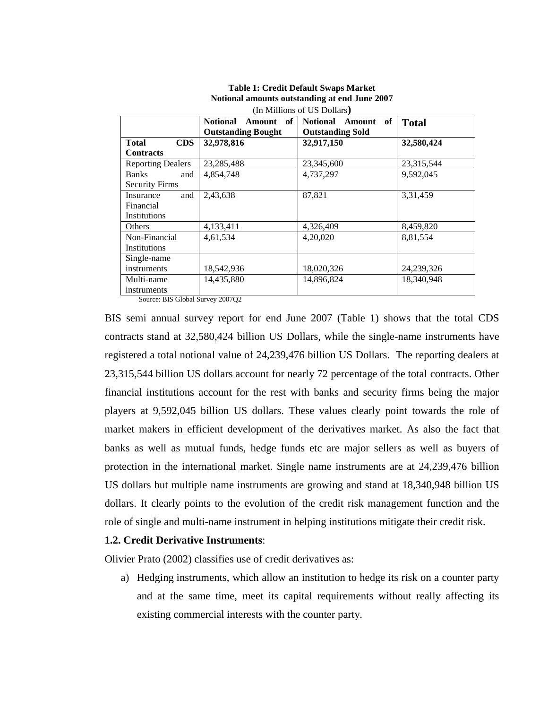| (In Millions of US Dollars) |                              |                                 |              |  |  |  |  |  |
|-----------------------------|------------------------------|---------------------------------|--------------|--|--|--|--|--|
|                             | Amount of<br><b>Notional</b> | <b>Notional</b><br>of<br>Amount | <b>Total</b> |  |  |  |  |  |
|                             | <b>Outstanding Bought</b>    | <b>Outstanding Sold</b>         |              |  |  |  |  |  |
| <b>Total</b><br><b>CDS</b>  | 32,978,816                   | 32,917,150                      | 32,580,424   |  |  |  |  |  |
| <b>Contracts</b>            |                              |                                 |              |  |  |  |  |  |
| <b>Reporting Dealers</b>    | 23, 285, 488                 | 23,345,600                      | 23,315,544   |  |  |  |  |  |
| <b>Banks</b><br>and         | 4,854,748                    | 4,737,297                       | 9,592,045    |  |  |  |  |  |
| <b>Security Firms</b>       |                              |                                 |              |  |  |  |  |  |
| and<br>Insurance            | 2,43,638                     | 87,821                          | 3,31,459     |  |  |  |  |  |
| Financial                   |                              |                                 |              |  |  |  |  |  |
| Institutions                |                              |                                 |              |  |  |  |  |  |
| Others                      | 4,133,411                    | 4,326,409                       | 8,459,820    |  |  |  |  |  |
| Non-Financial               | 4,61,534                     | 4,20,020                        | 8,81,554     |  |  |  |  |  |
| Institutions                |                              |                                 |              |  |  |  |  |  |
| Single-name                 |                              |                                 |              |  |  |  |  |  |
| instruments                 | 18,542,936                   | 18,020,326                      | 24,239,326   |  |  |  |  |  |
| Multi-name                  | 14,435,880                   | 14,896,824                      | 18.340.948   |  |  |  |  |  |
| instruments                 | ------                       |                                 |              |  |  |  |  |  |

# **Table 1: Credit Default Swaps Market Notional amounts outstanding at end June 2007**

Source: BIS Global Survey 2007Q2

BIS semi annual survey report for end June 2007 (Table 1) shows that the total CDS contracts stand at 32,580,424 billion US Dollars, while the single-name instruments have registered a total notional value of 24,239,476 billion US Dollars. The reporting dealers at 23,315,544 billion US dollars account for nearly 72 percentage of the total contracts. Other financial institutions account for the rest with banks and security firms being the major players at 9,592,045 billion US dollars. These values clearly point towards the role of market makers in efficient development of the derivatives market. As also the fact that banks as well as mutual funds, hedge funds etc are major sellers as well as buyers of protection in the international market. Single name instruments are at 24,239,476 billion US dollars but multiple name instruments are growing and stand at 18,340,948 billion US dollars. It clearly points to the evolution of the credit risk management function and the role of single and multi-name instrument in helping institutions mitigate their credit risk.

# **1.2. Credit Derivative Instruments**:

Olivier Prato (2002) classifies use of credit derivatives as:

a) Hedging instruments, which allow an institution to hedge its risk on a counter party and at the same time, meet its capital requirements without really affecting its existing commercial interests with the counter party.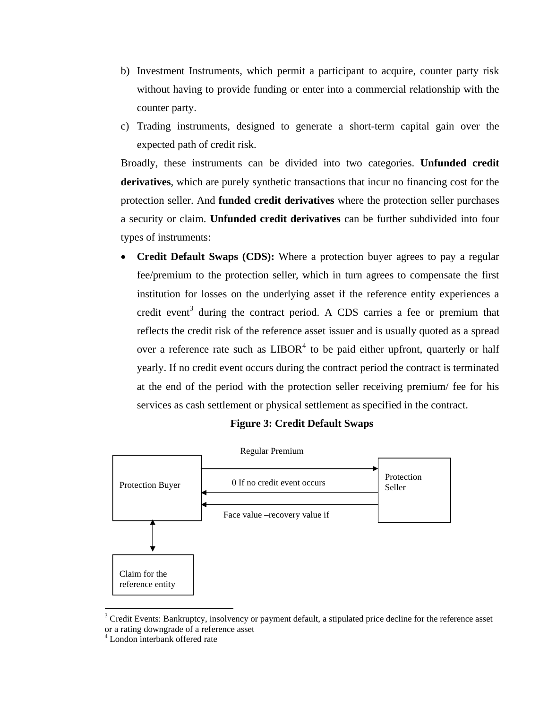- b) Investment Instruments, which permit a participant to acquire, counter party risk without having to provide funding or enter into a commercial relationship with the counter party.
- c) Trading instruments, designed to generate a short-term capital gain over the expected path of credit risk.

Broadly, these instruments can be divided into two categories. **Unfunded credit derivatives**, which are purely synthetic transactions that incur no financing cost for the protection seller. And **funded credit derivatives** where the protection seller purchases a security or claim. **Unfunded credit derivatives** can be further subdivided into four types of instruments:

 **Credit Default Swaps (CDS):** Where a protection buyer agrees to pay a regular fee/premium to the protection seller, which in turn agrees to compensate the first institution for losses on the underlying asset if the reference entity experiences a credit event<sup>3</sup> during the contract period. A CDS carries a fee or premium that reflects the credit risk of the reference asset issuer and is usually quoted as a spread over a reference rate such as  $LIBOR<sup>4</sup>$  to be paid either upfront, quarterly or half yearly. If no credit event occurs during the contract period the contract is terminated at the end of the period with the protection seller receiving premium/ fee for his services as cash settlement or physical settlement as specified in the contract.

# **Figure 3: Credit Default Swaps**



 $3$  Credit Events: Bankruptcy, insolvency or payment default, a stipulated price decline for the reference asset or a rating downgrade of a reference asset

 $\overline{a}$ 

<sup>4</sup> London interbank offered rate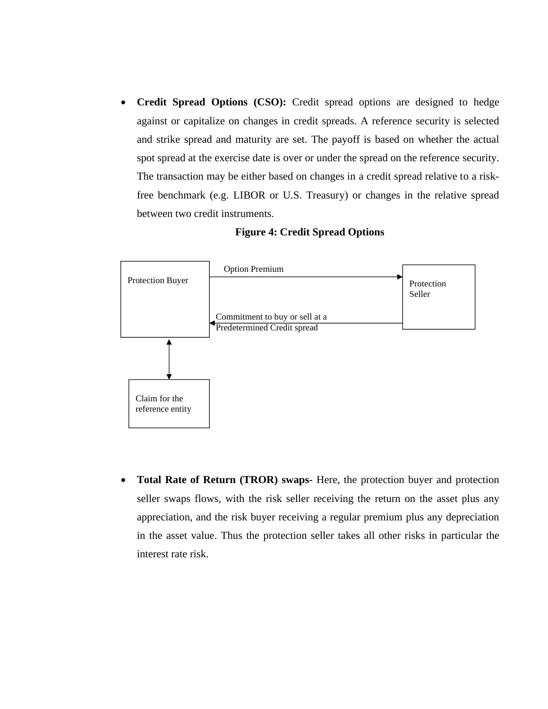**Credit Spread Options (CSO):** Credit spread options are designed to hedge against or capitalize on changes in credit spreads. A reference security is selected and strike spread and maturity are set. The payoff is based on whether the actual spot spread at the exercise date is over or under the spread on the reference security. The transaction may be either based on changes in a credit spread relative to a riskfree benchmark (e.g. LIBOR or U.S. Treasury) or changes in the relative spread between two credit instruments.



#### **Figure 4: Credit Spread Options**

 **Total Rate of Return (TROR) swaps-** Here, the protection buyer and protection seller swaps flows, with the risk seller receiving the return on the asset plus any appreciation, and the risk buyer receiving a regular premium plus any depreciation in the asset value. Thus the protection seller takes all other risks in particular the interest rate risk.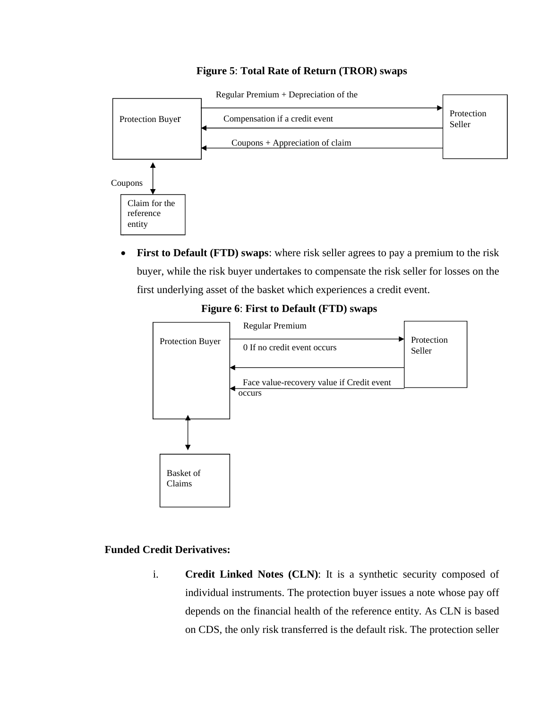# **Figure 5**: **Total Rate of Return (TROR) swaps**



 **First to Default (FTD) swaps**: where risk seller agrees to pay a premium to the risk buyer, while the risk buyer undertakes to compensate the risk seller for losses on the first underlying asset of the basket which experiences a credit event.



# **Figure 6**: **First to Default (FTD) swaps**

# **Funded Credit Derivatives:**

i. **Credit Linked Notes (CLN)**: It is a synthetic security composed of individual instruments. The protection buyer issues a note whose pay off depends on the financial health of the reference entity. As CLN is based on CDS, the only risk transferred is the default risk. The protection seller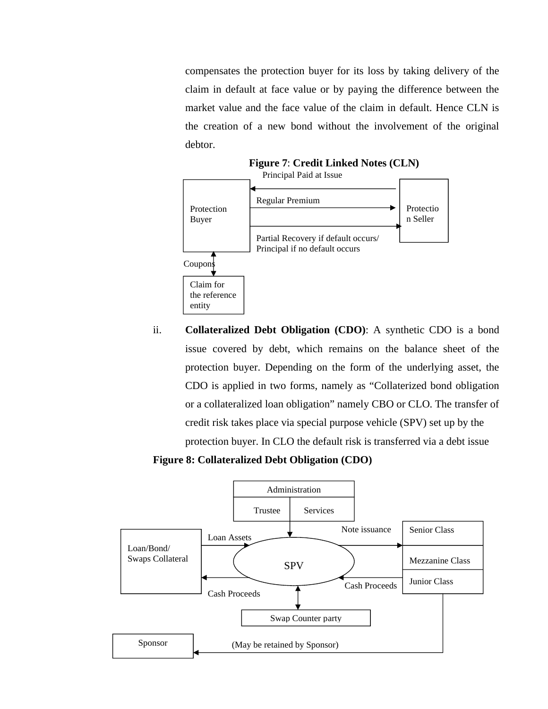compensates the protection buyer for its loss by taking delivery of the claim in default at face value or by paying the difference between the market value and the face value of the claim in default. Hence CLN is the creation of a new bond without the involvement of the original debtor.



ii. **Collateralized Debt Obligation (CDO)**: A synthetic CDO is a bond issue covered by debt, which remains on the balance sheet of the protection buyer. Depending on the form of the underlying asset, the CDO is applied in two forms, namely as "Collaterized bond obligation or a collateralized loan obligation" namely CBO or CLO. The transfer of credit risk takes place via special purpose vehicle (SPV) set up by the protection buyer. In CLO the default risk is transferred via a debt issue

**Figure 8: Collateralized Debt Obligation (CDO)**

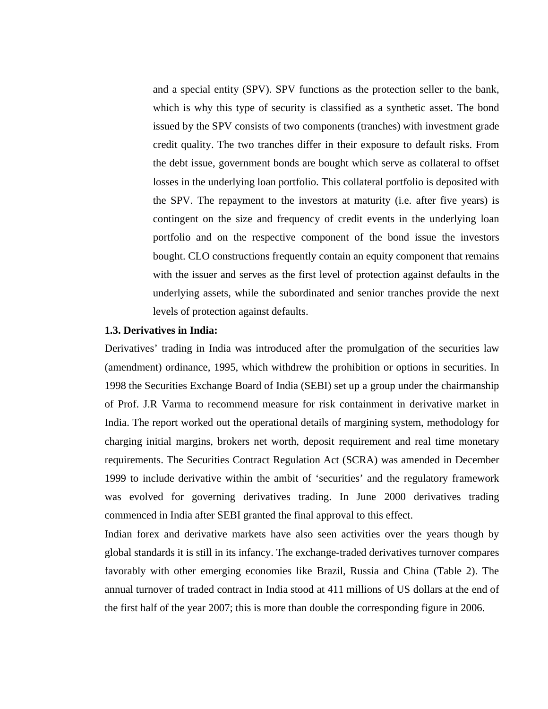and a special entity (SPV). SPV functions as the protection seller to the bank, which is why this type of security is classified as a synthetic asset. The bond issued by the SPV consists of two components (tranches) with investment grade credit quality. The two tranches differ in their exposure to default risks. From the debt issue, government bonds are bought which serve as collateral to offset losses in the underlying loan portfolio. This collateral portfolio is deposited with the SPV. The repayment to the investors at maturity (i.e. after five years) is contingent on the size and frequency of credit events in the underlying loan portfolio and on the respective component of the bond issue the investors bought. CLO constructions frequently contain an equity component that remains with the issuer and serves as the first level of protection against defaults in the underlying assets, while the subordinated and senior tranches provide the next levels of protection against defaults.

# **1.3. Derivatives in India:**

Derivatives' trading in India was introduced after the promulgation of the securities law (amendment) ordinance, 1995, which withdrew the prohibition or options in securities. In 1998 the Securities Exchange Board of India (SEBI) set up a group under the chairmanship of Prof. J.R Varma to recommend measure for risk containment in derivative market in India. The report worked out the operational details of margining system, methodology for charging initial margins, brokers net worth, deposit requirement and real time monetary requirements. The Securities Contract Regulation Act (SCRA) was amended in December 1999 to include derivative within the ambit of 'securities' and the regulatory framework was evolved for governing derivatives trading. In June 2000 derivatives trading commenced in India after SEBI granted the final approval to this effect.

Indian forex and derivative markets have also seen activities over the years though by global standards it is still in its infancy. The exchange-traded derivatives turnover compares favorably with other emerging economies like Brazil, Russia and China (Table 2). The annual turnover of traded contract in India stood at 411 millions of US dollars at the end of the first half of the year 2007; this is more than double the corresponding figure in 2006.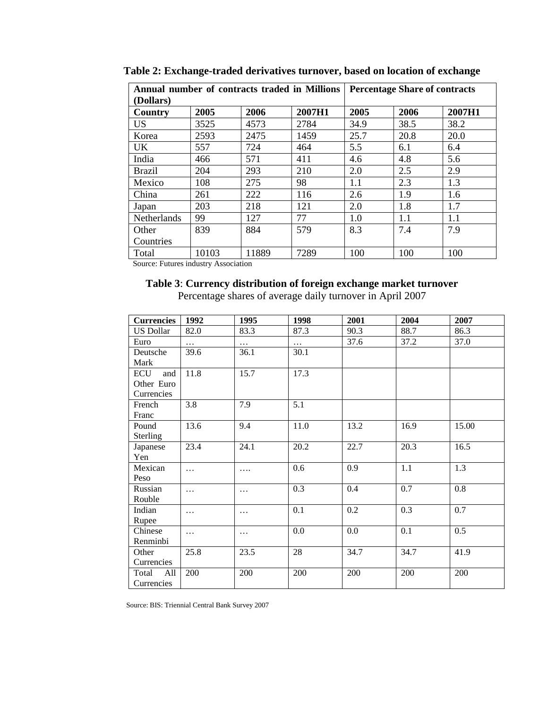| Annual number of contracts traded in Millions |       |       |        | <b>Percentage Share of contracts</b> |      |        |  |
|-----------------------------------------------|-------|-------|--------|--------------------------------------|------|--------|--|
| (Dollars)                                     |       |       |        |                                      |      |        |  |
| Country                                       | 2005  | 2006  | 2007H1 | 2005                                 | 2006 | 2007H1 |  |
| <b>US</b>                                     | 3525  | 4573  | 2784   | 34.9                                 | 38.5 | 38.2   |  |
| Korea                                         | 2593  | 2475  | 1459   | 25.7                                 | 20.8 | 20.0   |  |
| UK                                            | 557   | 724   | 464    | 5.5                                  | 6.1  | 6.4    |  |
| India                                         | 466   | 571   | 411    | 4.6                                  | 4.8  | 5.6    |  |
| <b>Brazil</b>                                 | 204   | 293   | 210    | 2.0                                  | 2.5  | 2.9    |  |
| Mexico                                        | 108   | 275   | 98     | 1.1                                  | 2.3  | 1.3    |  |
| China                                         | 261   | 222   | 116    | 2.6                                  | 1.9  | 1.6    |  |
| Japan                                         | 203   | 218   | 121    | 2.0                                  | 1.8  | 1.7    |  |
| <b>Netherlands</b>                            | 99    | 127   | 77     | 1.0                                  | 1.1  | 1.1    |  |
| Other                                         | 839   | 884   | 579    | 8.3                                  | 7.4  | 7.9    |  |
| Countries                                     |       |       |        |                                      |      |        |  |
| Total                                         | 10103 | 11889 | 7289   | 100                                  | 100  | 100    |  |

**Table 2: Exchange-traded derivatives turnover, based on location of exchange**

Source: Futures industry Association

# **Table 3**: **Currency distribution of foreign exchange market turnover**

Percentage shares of average daily turnover in April 2007

| <b>Currencies</b>                      | 1992     | 1995     | 1998     | 2001 | 2004 | 2007  |
|----------------------------------------|----------|----------|----------|------|------|-------|
| <b>US Dollar</b>                       | 82.0     | 83.3     | 87.3     | 90.3 | 88.7 | 86.3  |
| Euro                                   | $\cdots$ | $\ldots$ | $\ldots$ | 37.6 | 37.2 | 37.0  |
| Deutsche<br>Mark                       | 39.6     | 36.1     | 30.1     |      |      |       |
| ECU<br>and<br>Other Euro<br>Currencies | 11.8     | 15.7     | 17.3     |      |      |       |
| French<br>Franc                        | 3.8      | 7.9      | 5.1      |      |      |       |
| Pound<br>Sterling                      | 13.6     | 9.4      | 11.0     | 13.2 | 16.9 | 15.00 |
| Japanese<br>Yen                        | 23.4     | 24.1     | 20.2     | 22.7 | 20.3 | 16.5  |
| Mexican<br>Peso                        | $\cdots$ | .        | 0.6      | 0.9  | 1.1  | 1.3   |
| Russian<br>Rouble                      | .        | .        | 0.3      | 0.4  | 0.7  | 0.8   |
| Indian<br>Rupee                        | $\cdots$ | $\cdots$ | 0.1      | 0.2  | 0.3  | 0.7   |
| Chinese<br>Renminbi                    | $\cdots$ | $\cdots$ | 0.0      | 0.0  | 0.1  | 0.5   |
| Other<br>Currencies                    | 25.8     | 23.5     | 28       | 34.7 | 34.7 | 41.9  |
| Total<br>All<br>Currencies             | 200      | 200      | 200      | 200  | 200  | 200   |

Source: BIS: Triennial Central Bank Survey 2007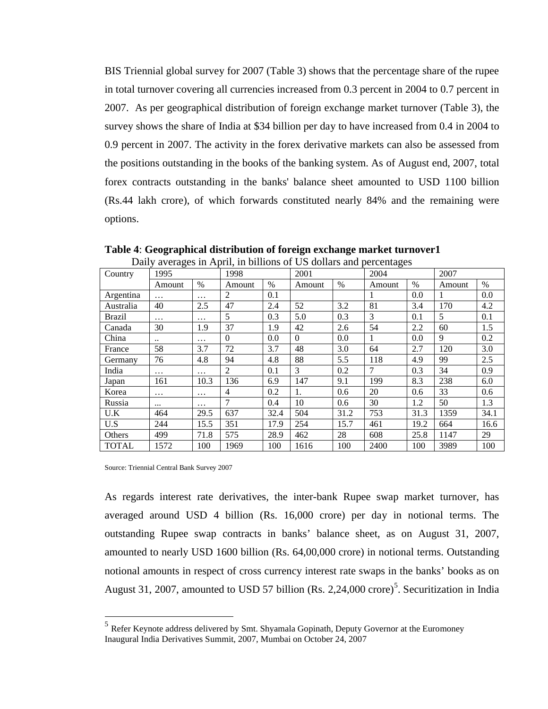BIS Triennial global survey for 2007 (Table 3) shows that the percentage share of the rupee in total turnover covering all currencies increased from 0.3 percent in 2004 to 0.7 percent in 2007. As per geographical distribution of foreign exchange market turnover (Table 3), the survey shows the share of India at \$34 billion per day to have increased from 0.4 in 2004 to 0.9 percent in 2007. The activity in the forex derivative markets can also be assessed from the positions outstanding in the books of the banking system. As of August end, 2007, total forex contracts outstanding in the banks' balance sheet amounted to USD 1100 billion (Rs.44 lakh crore), of which forwards constituted nearly 84% and the remaining were options.

| Country      | Darry averages in Typin, in binions of Ob donars and percentages<br>1995 |               | 1998     |      | 2001     |      | 2004   |      | 2007   |      |
|--------------|--------------------------------------------------------------------------|---------------|----------|------|----------|------|--------|------|--------|------|
|              | Amount                                                                   | $\frac{0}{0}$ | Amount   | $\%$ | Amount   | $\%$ | Amount | $\%$ | Amount | $\%$ |
| Argentina    | $\cdots$                                                                 | $\cdots$      | 2        | 0.1  |          |      | 1      | 0.0  |        | 0.0  |
| Australia    | 40                                                                       | 2.5           | 47       | 2.4  | 52       | 3.2  | 81     | 3.4  | 170    | 4.2  |
| Brazil       | $\cdots$                                                                 | $\cdots$      | 5        | 0.3  | 5.0      | 0.3  | 3      | 0.1  | 5      | 0.1  |
| Canada       | 30                                                                       | 1.9           | 37       | 1.9  | 42       | 2.6  | 54     | 2.2  | 60     | 1.5  |
| China        | $\ddotsc$                                                                | $\cdots$      | $\theta$ | 0.0  | $\Omega$ | 0.0  | 1      | 0.0  | 9      | 0.2  |
| France       | 58                                                                       | 3.7           | 72       | 3.7  | 48       | 3.0  | 64     | 2.7  | 120    | 3.0  |
| Germany      | 76                                                                       | 4.8           | 94       | 4.8  | 88       | 5.5  | 118    | 4.9  | 99     | 2.5  |
| India        | $\cdots$                                                                 | $\cdots$      | 2        | 0.1  | 3        | 0.2  | 7      | 0.3  | 34     | 0.9  |
| Japan        | 161                                                                      | 10.3          | 136      | 6.9  | 147      | 9.1  | 199    | 8.3  | 238    | 6.0  |
| Korea        | $\cdots$                                                                 | $\cdots$      | 4        | 0.2  | 1.       | 0.6  | 20     | 0.6  | 33     | 0.6  |
| Russia       | $\cdots$                                                                 | $\cdots$      | $\tau$   | 0.4  | 10       | 0.6  | 30     | 1.2  | 50     | 1.3  |
| U.K          | 464                                                                      | 29.5          | 637      | 32.4 | 504      | 31.2 | 753    | 31.3 | 1359   | 34.1 |
| U.S          | 244                                                                      | 15.5          | 351      | 17.9 | 254      | 15.7 | 461    | 19.2 | 664    | 16.6 |
| Others       | 499                                                                      | 71.8          | 575      | 28.9 | 462      | 28   | 608    | 25.8 | 1147   | 29   |
| <b>TOTAL</b> | 1572                                                                     | 100           | 1969     | 100  | 1616     | 100  | 2400   | 100  | 3989   | 100  |

**Table 4**: **Geographical distribution of foreign exchange market turnover1** Daily averages in April, in billions of US dollars and percentages

Source: Triennial Central Bank Survey 2007

 $\overline{a}$ 

As regards interest rate derivatives, the inter-bank Rupee swap market turnover, has averaged around USD 4 billion (Rs. 16,000 crore) per day in notional terms. The outstanding Rupee swap contracts in banks' balance sheet, as on August 31, 2007, amounted to nearly USD 1600 billion (Rs. 64,00,000 crore) in notional terms. Outstanding notional amounts in respect of cross currency interest rate swaps in the banks' books as on August 31, 2007, amounted to USD 57 billion (Rs. 2,24,000 crore)<sup>5</sup>. Securitization in India

<sup>&</sup>lt;sup>5</sup> Refer Keynote address delivered by Smt. Shyamala Gopinath, Deputy Governor at the Euromoney Inaugural India Derivatives Summit, 2007, Mumbai on October 24, 2007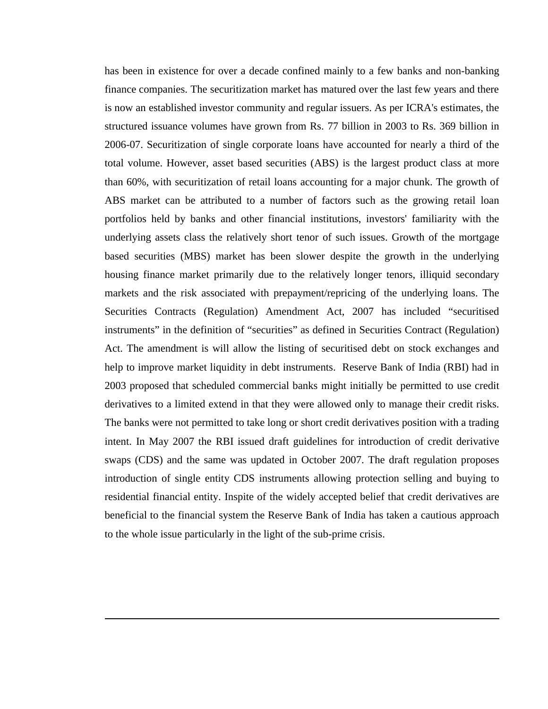has been in existence for over a decade confined mainly to a few banks and non-banking finance companies. The securitization market has matured over the last few years and there is now an established investor community and regular issuers. As per ICRA's estimates, the structured issuance volumes have grown from Rs. 77 billion in 2003 to Rs. 369 billion in 2006-07. Securitization of single corporate loans have accounted for nearly a third of the total volume. However, asset based securities (ABS) is the largest product class at more than 60%, with securitization of retail loans accounting for a major chunk. The growth of ABS market can be attributed to a number of factors such as the growing retail loan portfolios held by banks and other financial institutions, investors' familiarity with the underlying assets class the relatively short tenor of such issues. Growth of the mortgage based securities (MBS) market has been slower despite the growth in the underlying housing finance market primarily due to the relatively longer tenors, illiquid secondary markets and the risk associated with prepayment/repricing of the underlying loans. The Securities Contracts (Regulation) Amendment Act, 2007 has included "securitised instruments" in the definition of "securities" as defined in Securities Contract (Regulation) Act. The amendment is will allow the listing of securitised debt on stock exchanges and help to improve market liquidity in debt instruments. Reserve Bank of India (RBI) had in 2003 proposed that scheduled commercial banks might initially be permitted to use credit derivatives to a limited extend in that they were allowed only to manage their credit risks. The banks were not permitted to take long or short credit derivatives position with a trading intent. In May 2007 the RBI issued draft guidelines for introduction of credit derivative swaps (CDS) and the same was updated in October 2007. The draft regulation proposes introduction of single entity CDS instruments allowing protection selling and buying to residential financial entity. Inspite of the widely accepted belief that credit derivatives are beneficial to the financial system the Reserve Bank of India has taken a cautious approach to the whole issue particularly in the light of the sub-prime crisis.

 $\overline{a}$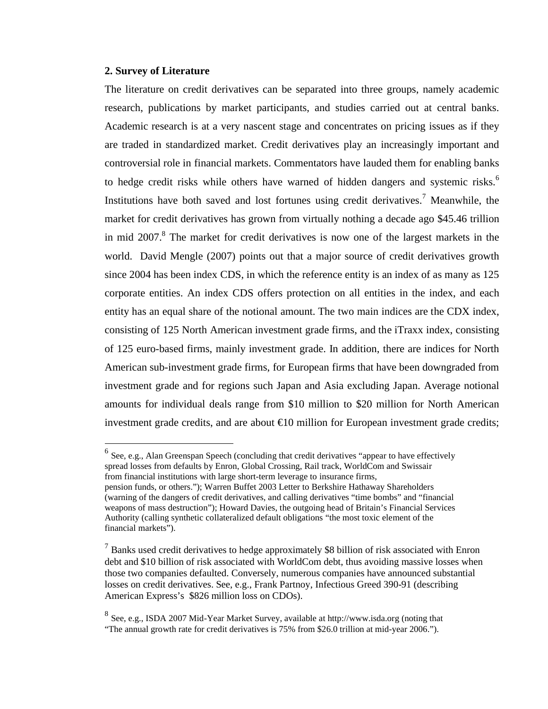# **2. Survey of Literature**

 $\overline{a}$ 

The literature on credit derivatives can be separated into three groups, namely academic research, publications by market participants, and studies carried out at central banks. Academic research is at a very nascent stage and concentrates on pricing issues as if they are traded in standardized market. Credit derivatives play an increasingly important and controversial role in financial markets. Commentators have lauded them for enabling banks to hedge credit risks while others have warned of hidden dangers and systemic risks.<sup>6</sup> Institutions have both saved and lost fortunes using credit derivatives.<sup>7</sup> Meanwhile, the market for credit derivatives has grown from virtually nothing a decade ago \$45.46 trillion in mid  $2007$ .<sup>8</sup> The market for credit derivatives is now one of the largest markets in the world. David Mengle (2007) points out that a major source of credit derivatives growth since 2004 has been index CDS, in which the reference entity is an index of as many as 125 corporate entities. An index CDS offers protection on all entities in the index, and each entity has an equal share of the notional amount. The two main indices are the CDX index, consisting of 125 North American investment grade firms, and the iTraxx index, consisting of 125 euro-based firms, mainly investment grade. In addition, there are indices for North American sub-investment grade firms, for European firms that have been downgraded from investment grade and for regions such Japan and Asia excluding Japan. Average notional amounts for individual deals range from \$10 million to \$20 million for North American investment grade credits, and are about €10 million for European investment grade credits;

 $<sup>6</sup>$  See, e.g., Alan Greenspan Speech (concluding that credit derivatives "appear to have effectively</sup> spread losses from defaults by Enron, Global Crossing, Rail track, WorldCom and Swissair from financial institutions with large short-term leverage to insurance firms, pension funds, or others."); Warren Buffet 2003 Letter to Berkshire Hathaway Shareholders (warning of the dangers of credit derivatives, and calling derivatives "time bombs" and "financial weapons of mass destruction"); Howard Davies, the outgoing head of Britain's Financial Services Authority (calling synthetic collateralized default obligations "the most toxic element of the financial markets").

 $<sup>7</sup>$  Banks used credit derivatives to hedge approximately \$8 billion of risk associated with Enron</sup> debt and \$10 billion of risk associated with WorldCom debt, thus avoiding massive losses when those two companies defaulted. Conversely, numerous companies have announced substantial losses on credit derivatives. See, e.g., Frank Partnoy, Infectious Greed 390-91 (describing American Express's \$826 million loss on CDOs).

<sup>8</sup> See, e.g., ISDA 2007 Mid-Year Market Survey, available at http://www.isda.org (noting that "The annual growth rate for credit derivatives is 75% from \$26.0 trillion at mid-year 2006.").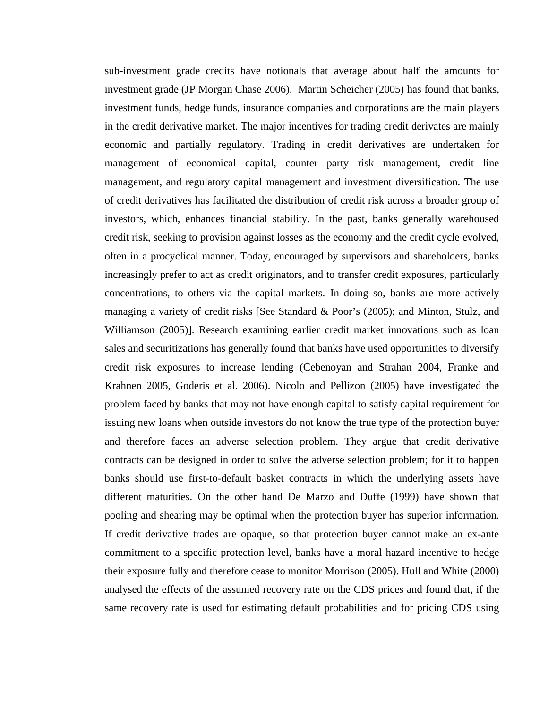sub-investment grade credits have notionals that average about half the amounts for investment grade (JP Morgan Chase 2006). Martin Scheicher (2005) has found that banks, investment funds, hedge funds, insurance companies and corporations are the main players in the credit derivative market. The major incentives for trading credit derivates are mainly economic and partially regulatory. Trading in credit derivatives are undertaken for management of economical capital, counter party risk management, credit line management, and regulatory capital management and investment diversification. The use of credit derivatives has facilitated the distribution of credit risk across a broader group of investors, which, enhances financial stability. In the past, banks generally warehoused credit risk, seeking to provision against losses as the economy and the credit cycle evolved, often in a procyclical manner. Today, encouraged by supervisors and shareholders, banks increasingly prefer to act as credit originators, and to transfer credit exposures, particularly concentrations, to others via the capital markets. In doing so, banks are more actively managing a variety of credit risks [See Standard & Poor's (2005); and Minton, Stulz, and Williamson (2005)]. Research examining earlier credit market innovations such as loan sales and securitizations has generally found that banks have used opportunities to diversify credit risk exposures to increase lending (Cebenoyan and Strahan 2004, Franke and Krahnen 2005, Goderis et al. 2006). Nicolo and Pellizon (2005) have investigated the problem faced by banks that may not have enough capital to satisfy capital requirement for issuing new loans when outside investors do not know the true type of the protection buyer and therefore faces an adverse selection problem. They argue that credit derivative contracts can be designed in order to solve the adverse selection problem; for it to happen banks should use first-to-default basket contracts in which the underlying assets have different maturities. On the other hand De Marzo and Duffe (1999) have shown that pooling and shearing may be optimal when the protection buyer has superior information. If credit derivative trades are opaque, so that protection buyer cannot make an ex-ante commitment to a specific protection level, banks have a moral hazard incentive to hedge their exposure fully and therefore cease to monitor Morrison (2005). Hull and White (2000) analysed the effects of the assumed recovery rate on the CDS prices and found that, if the same recovery rate is used for estimating default probabilities and for pricing CDS using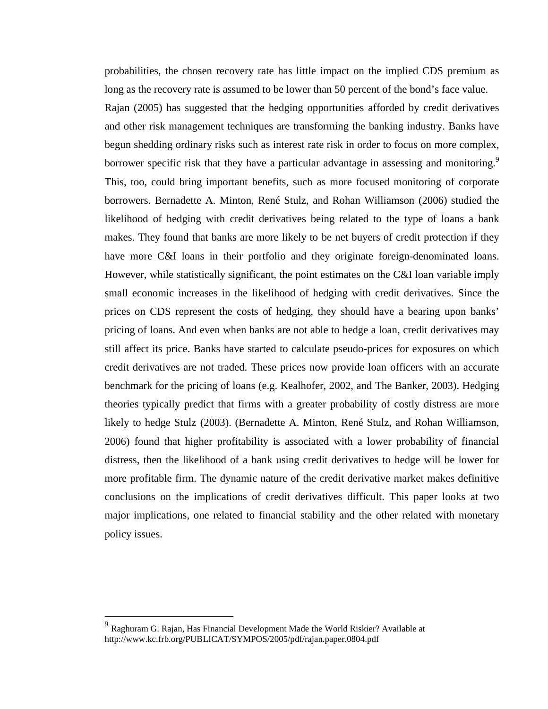probabilities, the chosen recovery rate has little impact on the implied CDS premium as long as the recovery rate is assumed to be lower than 50 percent of the bond's face value. Rajan (2005) has suggested that the hedging opportunities afforded by credit derivatives and other risk management techniques are transforming the banking industry. Banks have begun shedding ordinary risks such as interest rate risk in order to focus on more complex, borrower specific risk that they have a particular advantage in assessing and monitoring.<sup>9</sup> This, too, could bring important benefits, such as more focused monitoring of corporate borrowers. Bernadette A. Minton, René Stulz, and Rohan Williamson (2006) studied the likelihood of hedging with credit derivatives being related to the type of loans a bank makes. They found that banks are more likely to be net buyers of credit protection if they have more C&I loans in their portfolio and they originate foreign-denominated loans. However, while statistically significant, the point estimates on the C&I loan variable imply small economic increases in the likelihood of hedging with credit derivatives. Since the prices on CDS represent the costs of hedging, they should have a bearing upon banks' pricing of loans. And even when banks are not able to hedge a loan, credit derivatives may still affect its price. Banks have started to calculate pseudo-prices for exposures on which credit derivatives are not traded. These prices now provide loan officers with an accurate benchmark for the pricing of loans (e.g. Kealhofer, 2002, and The Banker, 2003). Hedging theories typically predict that firms with a greater probability of costly distress are more likely to hedge Stulz (2003). (Bernadette A. Minton, René Stulz, and Rohan Williamson, 2006) found that higher profitability is associated with a lower probability of financial distress, then the likelihood of a bank using credit derivatives to hedge will be lower for more profitable firm. The dynamic nature of the credit derivative market makes definitive conclusions on the implications of credit derivatives difficult. This paper looks at two major implications, one related to financial stability and the other related with monetary policy issues.

 $\overline{a}$ 

<sup>&</sup>lt;sup>9</sup> Raghuram G. Rajan, Has Financial Development Made the World Riskier? Available at http://www.kc.frb.org/PUBLICAT/SYMPOS/2005/pdf/rajan.paper.0804.pdf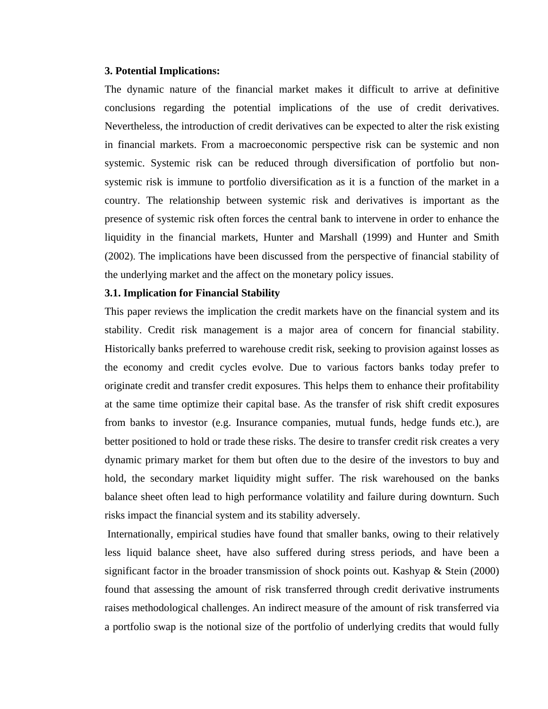# **3. Potential Implications:**

The dynamic nature of the financial market makes it difficult to arrive at definitive conclusions regarding the potential implications of the use of credit derivatives. Nevertheless, the introduction of credit derivatives can be expected to alter the risk existing in financial markets. From a macroeconomic perspective risk can be systemic and non systemic. Systemic risk can be reduced through diversification of portfolio but nonsystemic risk is immune to portfolio diversification as it is a function of the market in a country. The relationship between systemic risk and derivatives is important as the presence of systemic risk often forces the central bank to intervene in order to enhance the liquidity in the financial markets, Hunter and Marshall (1999) and Hunter and Smith (2002). The implications have been discussed from the perspective of financial stability of the underlying market and the affect on the monetary policy issues.

#### **3.1. Implication for Financial Stability**

This paper reviews the implication the credit markets have on the financial system and its stability. Credit risk management is a major area of concern for financial stability. Historically banks preferred to warehouse credit risk, seeking to provision against losses as the economy and credit cycles evolve. Due to various factors banks today prefer to originate credit and transfer credit exposures. This helps them to enhance their profitability at the same time optimize their capital base. As the transfer of risk shift credit exposures from banks to investor (e.g. Insurance companies, mutual funds, hedge funds etc.), are better positioned to hold or trade these risks. The desire to transfer credit risk creates a very dynamic primary market for them but often due to the desire of the investors to buy and hold, the secondary market liquidity might suffer. The risk warehoused on the banks balance sheet often lead to high performance volatility and failure during downturn. Such risks impact the financial system and its stability adversely.

 Internationally, empirical studies have found that smaller banks, owing to their relatively less liquid balance sheet, have also suffered during stress periods, and have been a significant factor in the broader transmission of shock points out. Kashyap & Stein (2000) found that assessing the amount of risk transferred through credit derivative instruments raises methodological challenges. An indirect measure of the amount of risk transferred via a portfolio swap is the notional size of the portfolio of underlying credits that would fully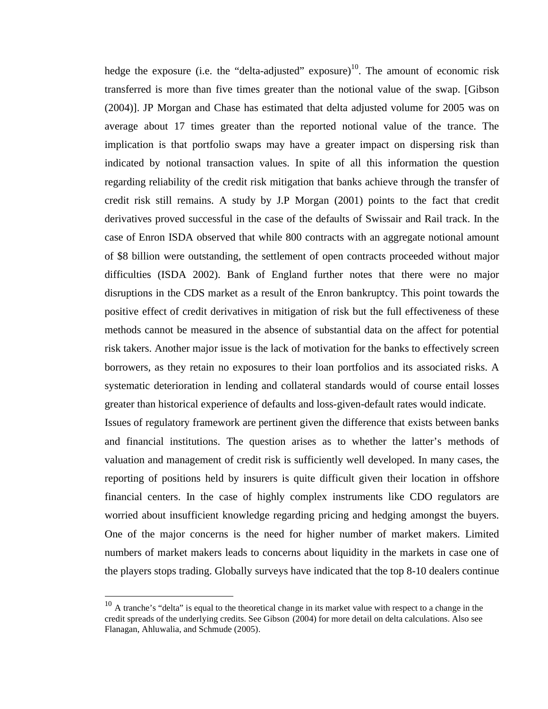hedge the exposure (i.e. the "delta-adjusted" exposure)<sup>10</sup>. The amount of economic risk transferred is more than five times greater than the notional value of the swap. [Gibson (2004)]. JP Morgan and Chase has estimated that delta adjusted volume for 2005 was on average about 17 times greater than the reported notional value of the trance. The implication is that portfolio swaps may have a greater impact on dispersing risk than indicated by notional transaction values. In spite of all this information the question regarding reliability of the credit risk mitigation that banks achieve through the transfer of credit risk still remains. A study by J.P Morgan (2001) points to the fact that credit derivatives proved successful in the case of the defaults of Swissair and Rail track. In the case of Enron ISDA observed that while 800 contracts with an aggregate notional amount of \$8 billion were outstanding, the settlement of open contracts proceeded without major difficulties (ISDA 2002). Bank of England further notes that there were no major disruptions in the CDS market as a result of the Enron bankruptcy. This point towards the positive effect of credit derivatives in mitigation of risk but the full effectiveness of these methods cannot be measured in the absence of substantial data on the affect for potential risk takers. Another major issue is the lack of motivation for the banks to effectively screen borrowers, as they retain no exposures to their loan portfolios and its associated risks. A systematic deterioration in lending and collateral standards would of course entail losses greater than historical experience of defaults and loss-given-default rates would indicate.

Issues of regulatory framework are pertinent given the difference that exists between banks and financial institutions. The question arises as to whether the latter's methods of valuation and management of credit risk is sufficiently well developed. In many cases, the reporting of positions held by insurers is quite difficult given their location in offshore financial centers. In the case of highly complex instruments like CDO regulators are worried about insufficient knowledge regarding pricing and hedging amongst the buyers. One of the major concerns is the need for higher number of market makers. Limited numbers of market makers leads to concerns about liquidity in the markets in case one of the players stops trading. Globally surveys have indicated that the top 8-10 dealers continue

1

 $10$  A tranche's "delta" is equal to the theoretical change in its market value with respect to a change in the credit spreads of the underlying credits. See Gibson (2004) for more detail on delta calculations. Also see Flanagan, Ahluwalia, and Schmude (2005).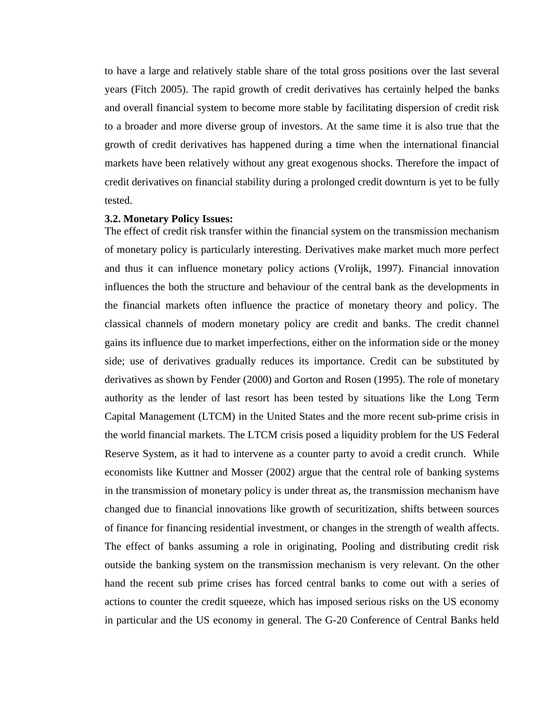to have a large and relatively stable share of the total gross positions over the last several years (Fitch 2005). The rapid growth of credit derivatives has certainly helped the banks and overall financial system to become more stable by facilitating dispersion of credit risk to a broader and more diverse group of investors. At the same time it is also true that the growth of credit derivatives has happened during a time when the international financial markets have been relatively without any great exogenous shocks. Therefore the impact of credit derivatives on financial stability during a prolonged credit downturn is yet to be fully tested.

#### **3.2. Monetary Policy Issues:**

The effect of credit risk transfer within the financial system on the transmission mechanism of monetary policy is particularly interesting. Derivatives make market much more perfect and thus it can influence monetary policy actions (Vrolijk, 1997). Financial innovation influences the both the structure and behaviour of the central bank as the developments in the financial markets often influence the practice of monetary theory and policy. The classical channels of modern monetary policy are credit and banks. The credit channel gains its influence due to market imperfections, either on the information side or the money side; use of derivatives gradually reduces its importance. Credit can be substituted by derivatives as shown by Fender (2000) and Gorton and Rosen (1995). The role of monetary authority as the lender of last resort has been tested by situations like the Long Term Capital Management (LTCM) in the United States and the more recent sub-prime crisis in the world financial markets. The LTCM crisis posed a liquidity problem for the US Federal Reserve System, as it had to intervene as a counter party to avoid a credit crunch. While economists like Kuttner and Mosser (2002) argue that the central role of banking systems in the transmission of monetary policy is under threat as, the transmission mechanism have changed due to financial innovations like growth of securitization, shifts between sources of finance for financing residential investment, or changes in the strength of wealth affects. The effect of banks assuming a role in originating, Pooling and distributing credit risk outside the banking system on the transmission mechanism is very relevant. On the other hand the recent sub prime crises has forced central banks to come out with a series of actions to counter the credit squeeze, which has imposed serious risks on the US economy in particular and the US economy in general. The G-20 Conference of Central Banks held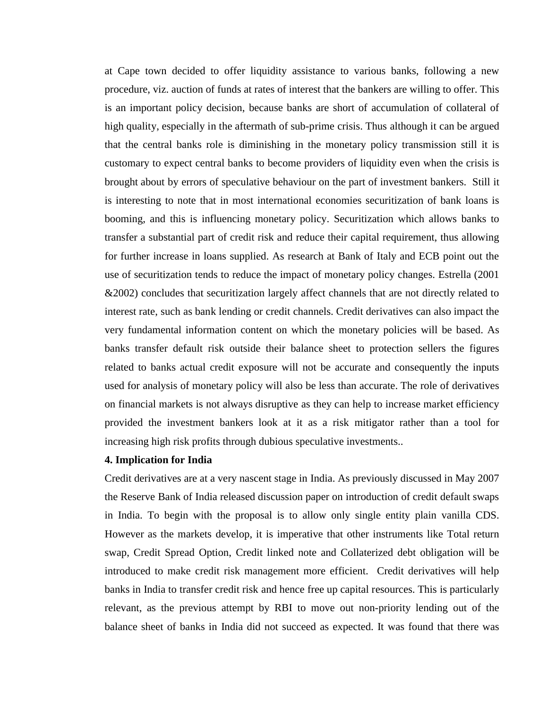at Cape town decided to offer liquidity assistance to various banks, following a new procedure, viz. auction of funds at rates of interest that the bankers are willing to offer. This is an important policy decision, because banks are short of accumulation of collateral of high quality, especially in the aftermath of sub-prime crisis. Thus although it can be argued that the central banks role is diminishing in the monetary policy transmission still it is customary to expect central banks to become providers of liquidity even when the crisis is brought about by errors of speculative behaviour on the part of investment bankers. Still it is interesting to note that in most international economies securitization of bank loans is booming, and this is influencing monetary policy. Securitization which allows banks to transfer a substantial part of credit risk and reduce their capital requirement, thus allowing for further increase in loans supplied. As research at Bank of Italy and ECB point out the use of securitization tends to reduce the impact of monetary policy changes. Estrella (2001 &2002) concludes that securitization largely affect channels that are not directly related to interest rate, such as bank lending or credit channels. Credit derivatives can also impact the very fundamental information content on which the monetary policies will be based. As banks transfer default risk outside their balance sheet to protection sellers the figures related to banks actual credit exposure will not be accurate and consequently the inputs used for analysis of monetary policy will also be less than accurate. The role of derivatives on financial markets is not always disruptive as they can help to increase market efficiency provided the investment bankers look at it as a risk mitigator rather than a tool for increasing high risk profits through dubious speculative investments..

# **4. Implication for India**

Credit derivatives are at a very nascent stage in India. As previously discussed in May 2007 the Reserve Bank of India released discussion paper on introduction of credit default swaps in India. To begin with the proposal is to allow only single entity plain vanilla CDS. However as the markets develop, it is imperative that other instruments like Total return swap, Credit Spread Option, Credit linked note and Collaterized debt obligation will be introduced to make credit risk management more efficient. Credit derivatives will help banks in India to transfer credit risk and hence free up capital resources. This is particularly relevant, as the previous attempt by RBI to move out non-priority lending out of the balance sheet of banks in India did not succeed as expected. It was found that there was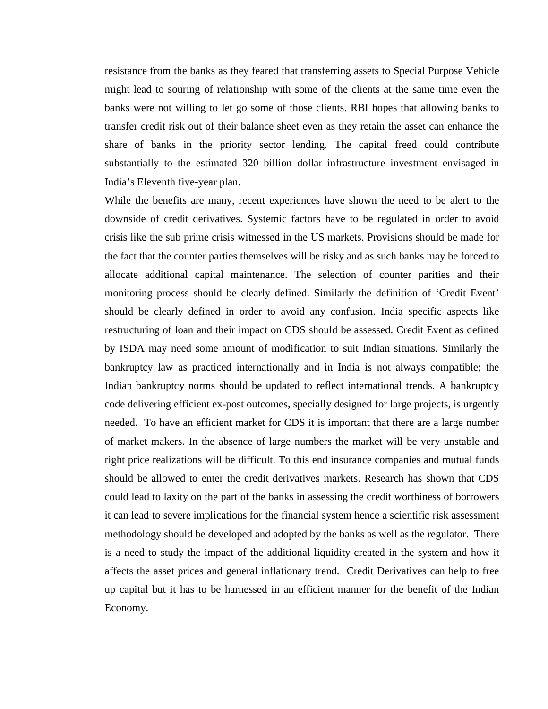resistance from the banks as they feared that transferring assets to Special Purpose Vehicle might lead to souring of relationship with some of the clients at the same time even the banks were not willing to let go some of those clients. RBI hopes that allowing banks to transfer credit risk out of their balance sheet even as they retain the asset can enhance the share of banks in the priority sector lending. The capital freed could contribute substantially to the estimated 320 billion dollar infrastructure investment envisaged in India's Eleventh five-year plan.

While the benefits are many, recent experiences have shown the need to be alert to the downside of credit derivatives. Systemic factors have to be regulated in order to avoid crisis like the sub prime crisis witnessed in the US markets. Provisions should be made for the fact that the counter parties themselves will be risky and as such banks may be forced to allocate additional capital maintenance. The selection of counter parities and their monitoring process should be clearly defined. Similarly the definition of 'Credit Event' should be clearly defined in order to avoid any confusion. India specific aspects like restructuring of loan and their impact on CDS should be assessed. Credit Event as defined by ISDA may need some amount of modification to suit Indian situations. Similarly the bankruptcy law as practiced internationally and in India is not always compatible; the Indian bankruptcy norms should be updated to reflect international trends. A bankruptcy code delivering efficient ex-post outcomes, specially designed for large projects, is urgently needed. To have an efficient market for CDS it is important that there are a large number of market makers. In the absence of large numbers the market will be very unstable and right price realizations will be difficult. To this end insurance companies and mutual funds should be allowed to enter the credit derivatives markets. Research has shown that CDS could lead to laxity on the part of the banks in assessing the credit worthiness of borrowers it can lead to severe implications for the financial system hence a scientific risk assessment methodology should be developed and adopted by the banks as well as the regulator. There is a need to study the impact of the additional liquidity created in the system and how it affects the asset prices and general inflationary trend. Credit Derivatives can help to free up capital but it has to be harnessed in an efficient manner for the benefit of the Indian Economy.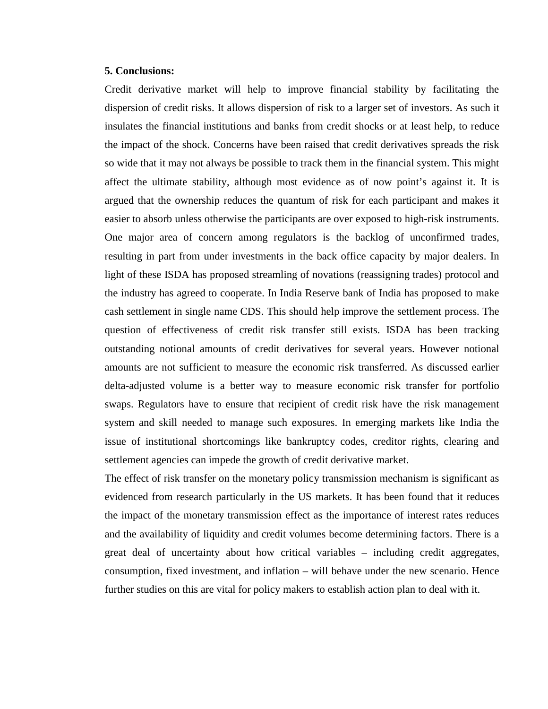## **5. Conclusions:**

Credit derivative market will help to improve financial stability by facilitating the dispersion of credit risks. It allows dispersion of risk to a larger set of investors. As such it insulates the financial institutions and banks from credit shocks or at least help, to reduce the impact of the shock. Concerns have been raised that credit derivatives spreads the risk so wide that it may not always be possible to track them in the financial system. This might affect the ultimate stability, although most evidence as of now point's against it. It is argued that the ownership reduces the quantum of risk for each participant and makes it easier to absorb unless otherwise the participants are over exposed to high-risk instruments. One major area of concern among regulators is the backlog of unconfirmed trades, resulting in part from under investments in the back office capacity by major dealers. In light of these ISDA has proposed streamling of novations (reassigning trades) protocol and the industry has agreed to cooperate. In India Reserve bank of India has proposed to make cash settlement in single name CDS. This should help improve the settlement process. The question of effectiveness of credit risk transfer still exists. ISDA has been tracking outstanding notional amounts of credit derivatives for several years. However notional amounts are not sufficient to measure the economic risk transferred. As discussed earlier delta-adjusted volume is a better way to measure economic risk transfer for portfolio swaps. Regulators have to ensure that recipient of credit risk have the risk management system and skill needed to manage such exposures. In emerging markets like India the issue of institutional shortcomings like bankruptcy codes, creditor rights, clearing and settlement agencies can impede the growth of credit derivative market.

The effect of risk transfer on the monetary policy transmission mechanism is significant as evidenced from research particularly in the US markets. It has been found that it reduces the impact of the monetary transmission effect as the importance of interest rates reduces and the availability of liquidity and credit volumes become determining factors. There is a great deal of uncertainty about how critical variables – including credit aggregates, consumption, fixed investment, and inflation – will behave under the new scenario. Hence further studies on this are vital for policy makers to establish action plan to deal with it.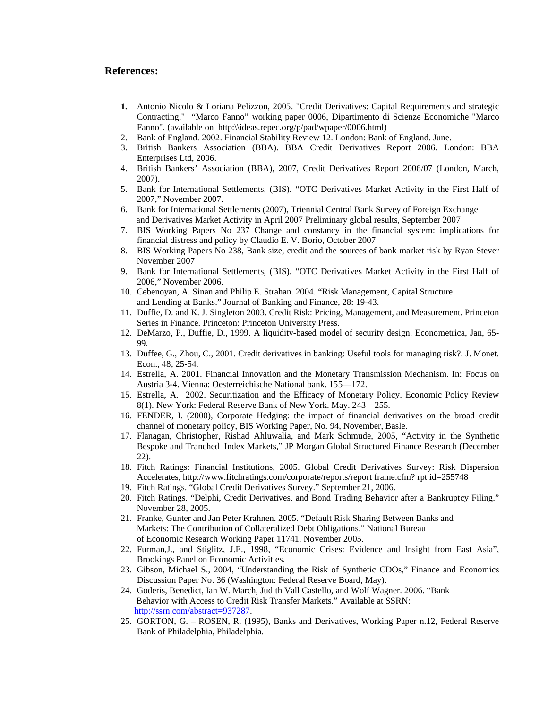#### **References:**

- **1.** Antonio Nicolo & Loriana Pelizzon, 2005. "Credit Derivatives: Capital Requirements and strategic Contracting," "Marco Fanno" working paper 0006, Dipartimento di Scienze Economiche "Marco Fanno". (available on http:\\ideas.repec.org/p/pad/wpaper/0006.html)
- 2. Bank of England. 2002. Financial Stability Review 12. London: Bank of England. June.
- 3. British Bankers Association (BBA). BBA Credit Derivatives Report 2006. London: BBA Enterprises Ltd, 2006.
- 4. British Bankers' Association (BBA), 2007, Credit Derivatives Report 2006/07 (London, March, 2007).
- 5. Bank for International Settlements, (BIS). "OTC Derivatives Market Activity in the First Half of 2007," November 2007.
- 6. Bank for International Settlements (2007), Triennial Central Bank Survey of Foreign Exchange and Derivatives Market Activity in April 2007 Preliminary global results, September 2007
- 7. BIS Working Papers No 237 Change and constancy in the financial system: implications for financial distress and policy by Claudio E. V. Borio, October 2007
- 8. BIS Working Papers No 238, Bank size, credit and the sources of bank market risk by Ryan Stever November 2007
- 9. Bank for International Settlements, (BIS). "OTC Derivatives Market Activity in the First Half of 2006," November 2006.
- 10. Cebenoyan, A. Sinan and Philip E. Strahan. 2004. "Risk Management, Capital Structure and Lending at Banks." Journal of Banking and Finance, 28: 19-43.
- 11. Duffie, D. and K. J. Singleton 2003. Credit Risk: Pricing, Management, and Measurement. Princeton Series in Finance. Princeton: Princeton University Press.
- 12. DeMarzo, P., Duffie, D., 1999. A liquidity-based model of security design. Econometrica, Jan, 65- 99.
- 13. Duffee, G., Zhou, C., 2001. Credit derivatives in banking: Useful tools for managing risk?. J. Monet. Econ., 48, 25-54.
- 14. Estrella, A. 2001. Financial Innovation and the Monetary Transmission Mechanism. In: Focus on Austria 3-4. Vienna: Oesterreichische National bank. 155—172.
- 15. Estrella, A. 2002. Securitization and the Efficacy of Monetary Policy. Economic Policy Review 8(1). New York: Federal Reserve Bank of New York. May. 243—255.
- 16. FENDER, I. (2000), Corporate Hedging: the impact of financial derivatives on the broad credit channel of monetary policy, BIS Working Paper, No. 94, November, Basle.
- 17. Flanagan, Christopher, Rishad Ahluwalia, and Mark Schmude, 2005, "Activity in the Synthetic Bespoke and Tranched Index Markets," JP Morgan Global Structured Finance Research (December 22).
- 18. Fitch Ratings: Financial Institutions, 2005. Global Credit Derivatives Survey: Risk Dispersion Accelerates, http://www.fitchratings.com/corporate/reports/report frame.cfm? rpt id=255748
- 19. Fitch Ratings. "Global Credit Derivatives Survey." September 21, 2006.
- 20. Fitch Ratings. "Delphi, Credit Derivatives, and Bond Trading Behavior after a Bankruptcy Filing." November 28, 2005.
- 21. Franke, Gunter and Jan Peter Krahnen. 2005. "Default Risk Sharing Between Banks and Markets: The Contribution of Collateralized Debt Obligations." National Bureau of Economic Research Working Paper 11741. November 2005.
- 22. Furman,J., and Stiglitz, J.E., 1998, "Economic Crises: Evidence and Insight from East Asia", Brookings Panel on Economic Activities.
- 23. Gibson, Michael S., 2004, "Understanding the Risk of Synthetic CDOs," Finance and Economics Discussion Paper No. 36 (Washington: Federal Reserve Board, May).
- 24. Goderis, Benedict, Ian W. March, Judith Vall Castello, and Wolf Wagner. 2006. "Bank Behavior with Access to Credit Risk Transfer Markets." Available at SSRN: http://ssrn.com/abstract=937287.
- 25. GORTON, G. ROSEN, R. (1995), Banks and Derivatives, Working Paper n.12, Federal Reserve Bank of Philadelphia, Philadelphia.